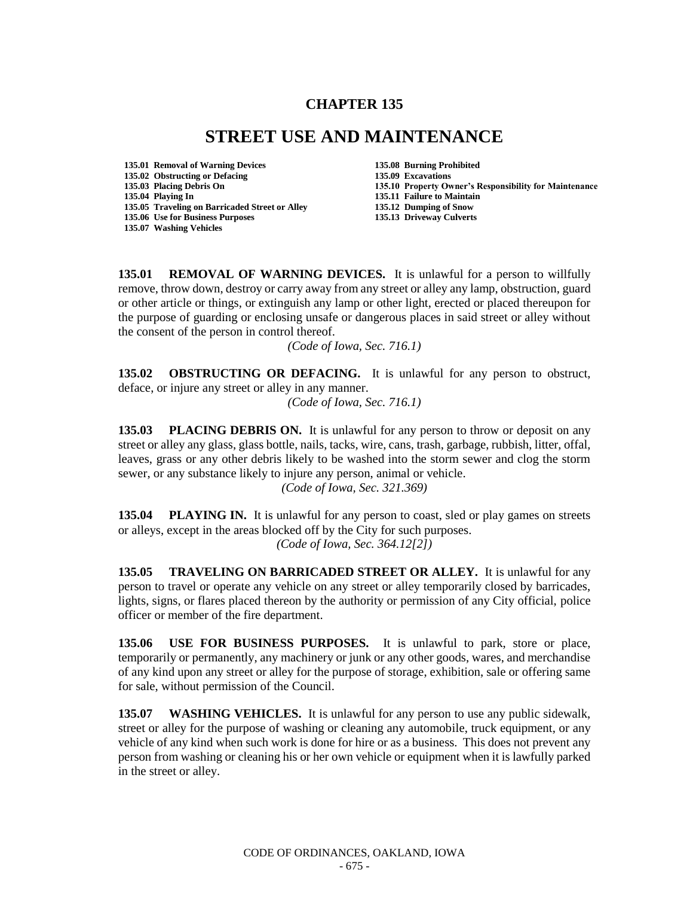## **CHAPTER 135**

## **STREET USE AND MAINTENANCE**

- **135.01 Removal of Warning Devices 135.08 Burning Prohibited 135.02 Obstructing or Defacing 135.09 Excavations 135.04 Playing In 135.11 Failure to Maintain 135.05 Traveling on Barricaded Street or Alley 135.06 Use for Business Purposes 135.13 Driveway Culverts 135.07 Washing Vehicles**
	- **135.10 Property Owner's Responsibility for Maintenance**

**135.01 REMOVAL OF WARNING DEVICES.** It is unlawful for a person to willfully remove, throw down, destroy or carry away from any street or alley any lamp, obstruction, guard or other article or things, or extinguish any lamp or other light, erected or placed thereupon for the purpose of guarding or enclosing unsafe or dangerous places in said street or alley without the consent of the person in control thereof.

*(Code of Iowa, Sec. 716.1)* 

**135.02 OBSTRUCTING OR DEFACING.** It is unlawful for any person to obstruct, deface, or injure any street or alley in any manner.

*(Code of Iowa, Sec. 716.1)* 

**135.03 PLACING DEBRIS ON.** It is unlawful for any person to throw or deposit on any street or alley any glass, glass bottle, nails, tacks, wire, cans, trash, garbage, rubbish, litter, offal, leaves, grass or any other debris likely to be washed into the storm sewer and clog the storm sewer, or any substance likely to injure any person, animal or vehicle.

*(Code of Iowa, Sec. 321.369)*

**135.04 PLAYING IN.** It is unlawful for any person to coast, sled or play games on streets or alleys, except in the areas blocked off by the City for such purposes. *(Code of Iowa, Sec. 364.12[2])* 

**135.05 TRAVELING ON BARRICADED STREET OR ALLEY.** It is unlawful for any person to travel or operate any vehicle on any street or alley temporarily closed by barricades, lights, signs, or flares placed thereon by the authority or permission of any City official, police officer or member of the fire department.

**135.06 USE FOR BUSINESS PURPOSES.** It is unlawful to park, store or place, temporarily or permanently, any machinery or junk or any other goods, wares, and merchandise of any kind upon any street or alley for the purpose of storage, exhibition, sale or offering same for sale, without permission of the Council.

**135.07 WASHING VEHICLES.** It is unlawful for any person to use any public sidewalk, street or alley for the purpose of washing or cleaning any automobile, truck equipment, or any vehicle of any kind when such work is done for hire or as a business. This does not prevent any person from washing or cleaning his or her own vehicle or equipment when it is lawfully parked in the street or alley.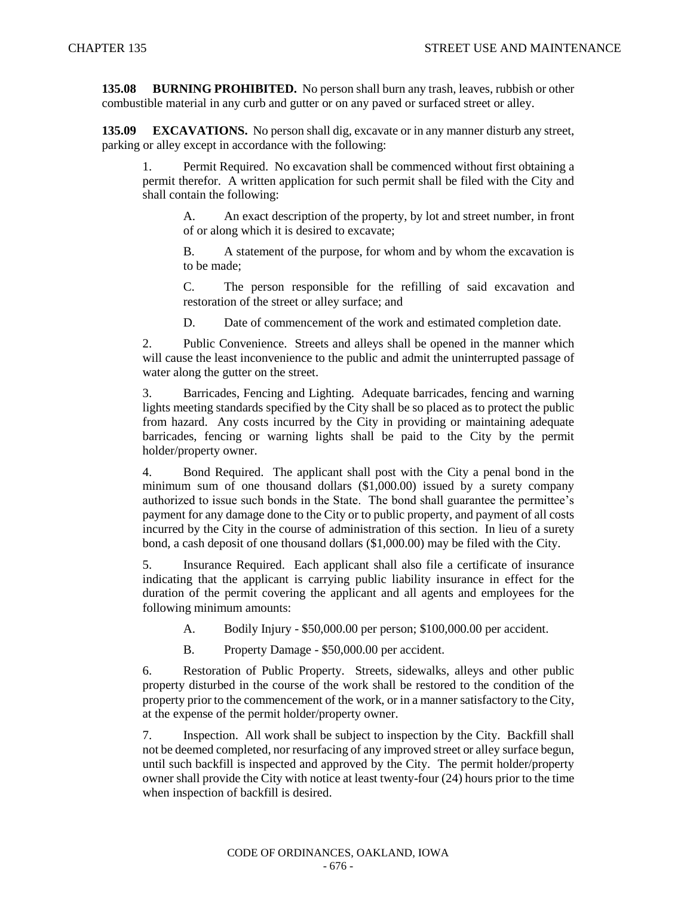**135.08 BURNING PROHIBITED.** No person shall burn any trash, leaves, rubbish or other combustible material in any curb and gutter or on any paved or surfaced street or alley.

**135.09 EXCAVATIONS.** No person shall dig, excavate or in any manner disturb any street, parking or alley except in accordance with the following:

1. Permit Required. No excavation shall be commenced without first obtaining a permit therefor. A written application for such permit shall be filed with the City and shall contain the following:

A. An exact description of the property, by lot and street number, in front of or along which it is desired to excavate;

B. A statement of the purpose, for whom and by whom the excavation is to be made;

C. The person responsible for the refilling of said excavation and restoration of the street or alley surface; and

D. Date of commencement of the work and estimated completion date.

2. Public Convenience. Streets and alleys shall be opened in the manner which will cause the least inconvenience to the public and admit the uninterrupted passage of water along the gutter on the street.

3. Barricades, Fencing and Lighting. Adequate barricades, fencing and warning lights meeting standards specified by the City shall be so placed as to protect the public from hazard. Any costs incurred by the City in providing or maintaining adequate barricades, fencing or warning lights shall be paid to the City by the permit holder/property owner.

4. Bond Required. The applicant shall post with the City a penal bond in the minimum sum of one thousand dollars (\$1,000.00) issued by a surety company authorized to issue such bonds in the State. The bond shall guarantee the permittee's payment for any damage done to the City or to public property, and payment of all costs incurred by the City in the course of administration of this section. In lieu of a surety bond, a cash deposit of one thousand dollars (\$1,000.00) may be filed with the City.

5. Insurance Required. Each applicant shall also file a certificate of insurance indicating that the applicant is carrying public liability insurance in effect for the duration of the permit covering the applicant and all agents and employees for the following minimum amounts:

A. Bodily Injury - \$50,000.00 per person; \$100,000.00 per accident.

B. Property Damage - \$50,000.00 per accident.

6. Restoration of Public Property. Streets, sidewalks, alleys and other public property disturbed in the course of the work shall be restored to the condition of the property prior to the commencement of the work, or in a manner satisfactory to the City, at the expense of the permit holder/property owner.

7. Inspection. All work shall be subject to inspection by the City. Backfill shall not be deemed completed, nor resurfacing of any improved street or alley surface begun, until such backfill is inspected and approved by the City. The permit holder/property owner shall provide the City with notice at least twenty-four (24) hours prior to the time when inspection of backfill is desired.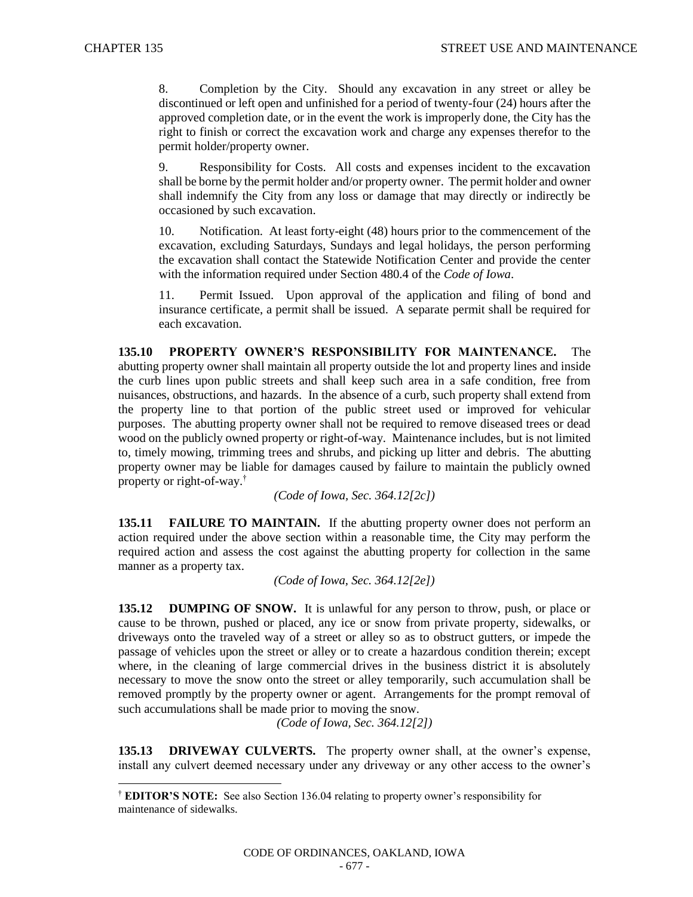l

8. Completion by the City. Should any excavation in any street or alley be discontinued or left open and unfinished for a period of twenty-four (24) hours after the approved completion date, or in the event the work is improperly done, the City has the right to finish or correct the excavation work and charge any expenses therefor to the permit holder/property owner.

9. Responsibility for Costs. All costs and expenses incident to the excavation shall be borne by the permit holder and/or property owner. The permit holder and owner shall indemnify the City from any loss or damage that may directly or indirectly be occasioned by such excavation.

10. Notification. At least forty-eight (48) hours prior to the commencement of the excavation, excluding Saturdays, Sundays and legal holidays, the person performing the excavation shall contact the Statewide Notification Center and provide the center with the information required under Section 480.4 of the *Code of Iowa*.

11. Permit Issued. Upon approval of the application and filing of bond and insurance certificate, a permit shall be issued. A separate permit shall be required for each excavation.

**135.10 PROPERTY OWNER'S RESPONSIBILITY FOR MAINTENANCE.** The abutting property owner shall maintain all property outside the lot and property lines and inside the curb lines upon public streets and shall keep such area in a safe condition, free from nuisances, obstructions, and hazards. In the absence of a curb, such property shall extend from the property line to that portion of the public street used or improved for vehicular purposes. The abutting property owner shall not be required to remove diseased trees or dead wood on the publicly owned property or right-of-way. Maintenance includes, but is not limited to, timely mowing, trimming trees and shrubs, and picking up litter and debris. The abutting property owner may be liable for damages caused by failure to maintain the publicly owned property or right-of-way.†

*(Code of Iowa, Sec. 364.12[2c])*

**135.11 FAILURE TO MAINTAIN.** If the abutting property owner does not perform an action required under the above section within a reasonable time, the City may perform the required action and assess the cost against the abutting property for collection in the same manner as a property tax.

*(Code of Iowa, Sec. 364.12[2e])* 

**135.12 DUMPING OF SNOW.** It is unlawful for any person to throw, push, or place or cause to be thrown, pushed or placed, any ice or snow from private property, sidewalks, or driveways onto the traveled way of a street or alley so as to obstruct gutters, or impede the passage of vehicles upon the street or alley or to create a hazardous condition therein; except where, in the cleaning of large commercial drives in the business district it is absolutely necessary to move the snow onto the street or alley temporarily, such accumulation shall be removed promptly by the property owner or agent. Arrangements for the prompt removal of such accumulations shall be made prior to moving the snow.

*(Code of Iowa, Sec. 364.12[2])*

**135.13 DRIVEWAY CULVERTS.** The property owner shall, at the owner's expense, install any culvert deemed necessary under any driveway or any other access to the owner's

<sup>†</sup> **EDITOR'S NOTE:** See also Section 136.04 relating to property owner's responsibility for maintenance of sidewalks.